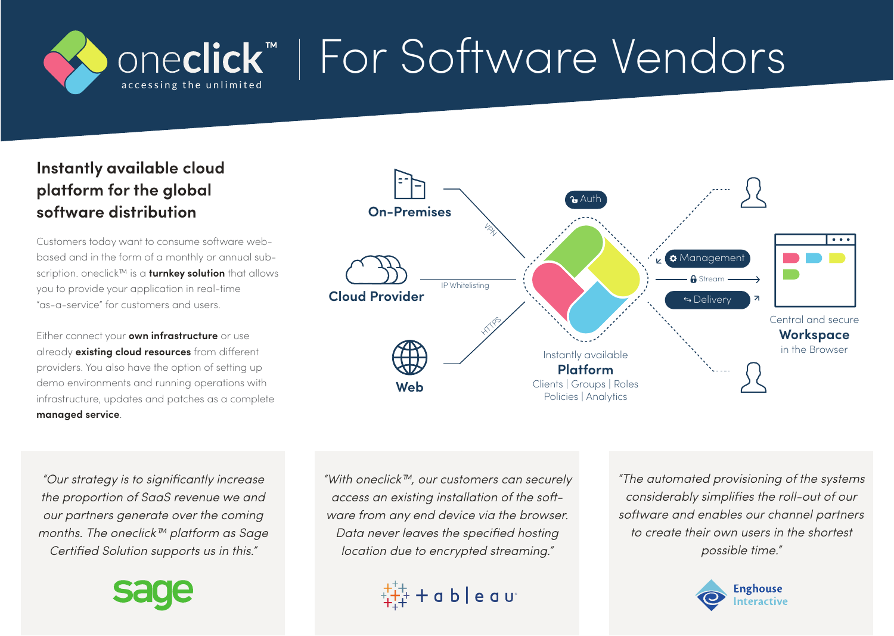## **pneclick**™ | For Software Vendors accessing the unlimited

## **Instantly available cloud platform for the global software distribution**

Customers today want to consume software webbased and in the form of a monthly or annual subscription. oneclick™ is a **turnkey solution** that allows you to provide your application in real-time "as-a-service" for customers and users.

Either connect your **own infrastructure** or use already **existing cloud resources** from different providers. You also have the option of setting up demo environments and running operations with infrastructure, updates and patches as a complete **managed service**.

**Platform Workspace** in the Browser Central and secure Clients | Groups | Roles Policies | Analytics Instantly available  $\frac{1}{2}$ **HTMPS** IP Whitelisting **Web Cloud Provider On-Premises** Delivery Delivery **A** Stream **A** Management  $A$ uth

"Our strategy is to significantly increase the proportion of SaaS revenue we and our partners generate over the coming months. The oneclick™ platform as Sage Certified Solution supports us in this."



"With oneclick™, our customers can securely access an existing installation of the software from any end device via the browser. Data never leaves the specified hosting location due to encrypted streaming."



"The automated provisioning of the systems considerably simplifies the roll-out of our software and enables our channel partners to create their own users in the shortest possible time."